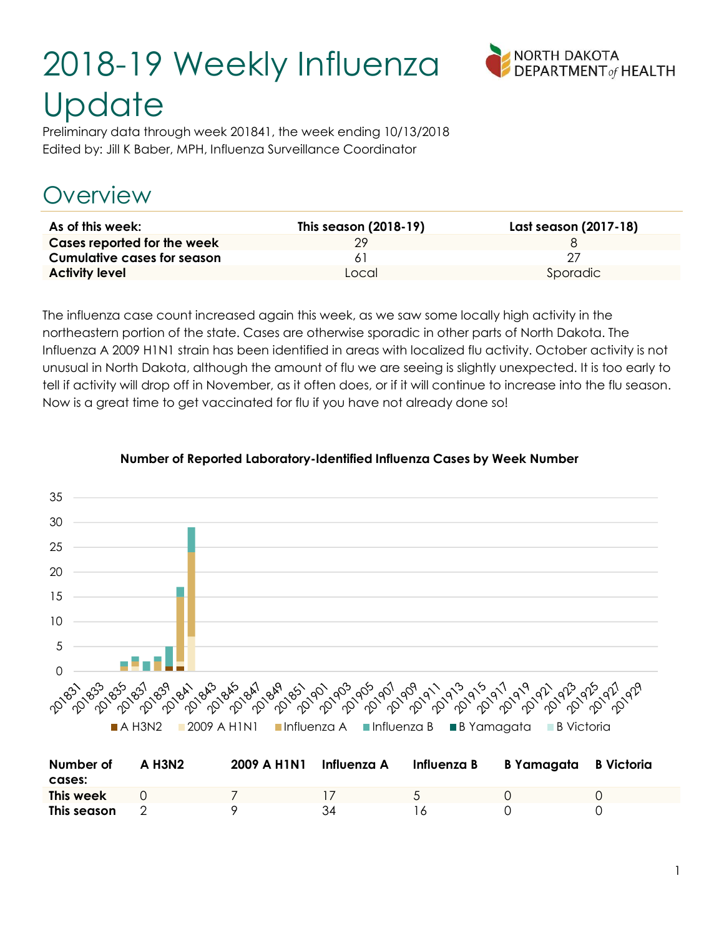# 2018-19 Weekly Influenza **Update**



Preliminary data through week 201841, the week ending 10/13/2018 Edited by: Jill K Baber, MPH, Influenza Surveillance Coordinator

# Overview

| As of this week:            | This season (2018-19) | Last season (2017-18) |
|-----------------------------|-----------------------|-----------------------|
| Cases reported for the week | 79                    |                       |
| Cumulative cases for season |                       |                       |
| <b>Activity level</b>       | Local                 | Sporadic              |

The influenza case count increased again this week, as we saw some locally high activity in the northeastern portion of the state. Cases are otherwise sporadic in other parts of North Dakota. The Influenza A 2009 H1N1 strain has been identified in areas with localized flu activity. October activity is not unusual in North Dakota, although the amount of flu we are seeing is slightly unexpected. It is too early to tell if activity will drop off in November, as it often does, or if it will continue to increase into the flu season. Now is a great time to get vaccinated for flu if you have not already done so!



#### Number of Reported Laboratory-Identified Influenza Cases by Week Number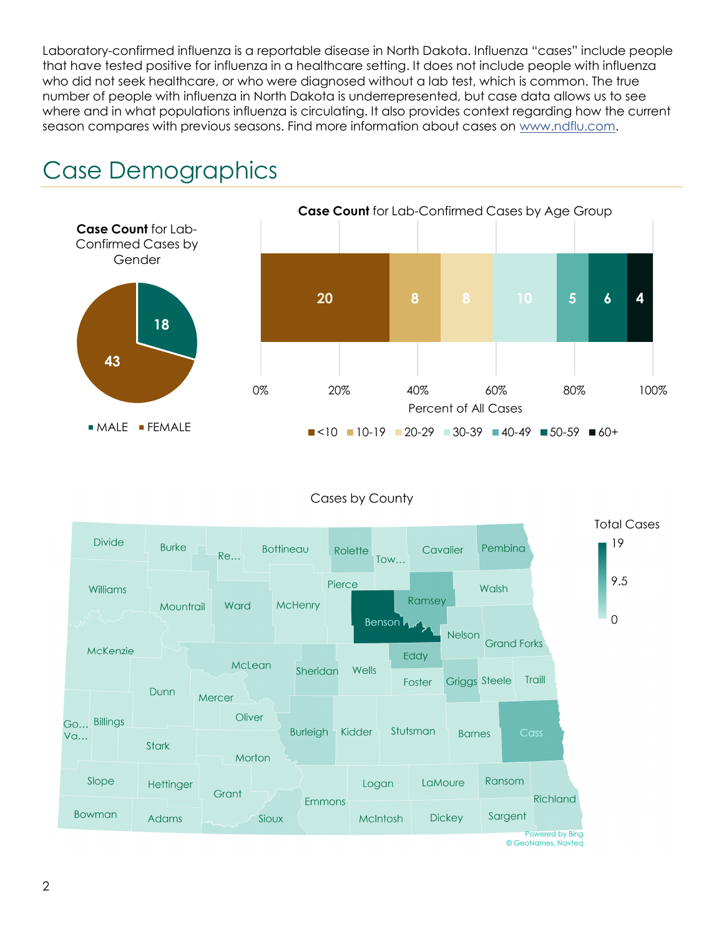Laboratory-confirmed influenza is a reportable disease in North Dakota. Influenza "cases" include people that have tested positive for influenza in a healthcare setting. It does not include people with influenza who did not seek healthcare, or who were diagnosed without a lab test, which is common. The true number of people with influenza in North Dakota is underrepresented, but case data allows us to see where and in what populations influenza is circulating. It also provides context regarding how the current season compares with previous seasons. Find more information about cases on www.ndflu.com.





#### Cases by County

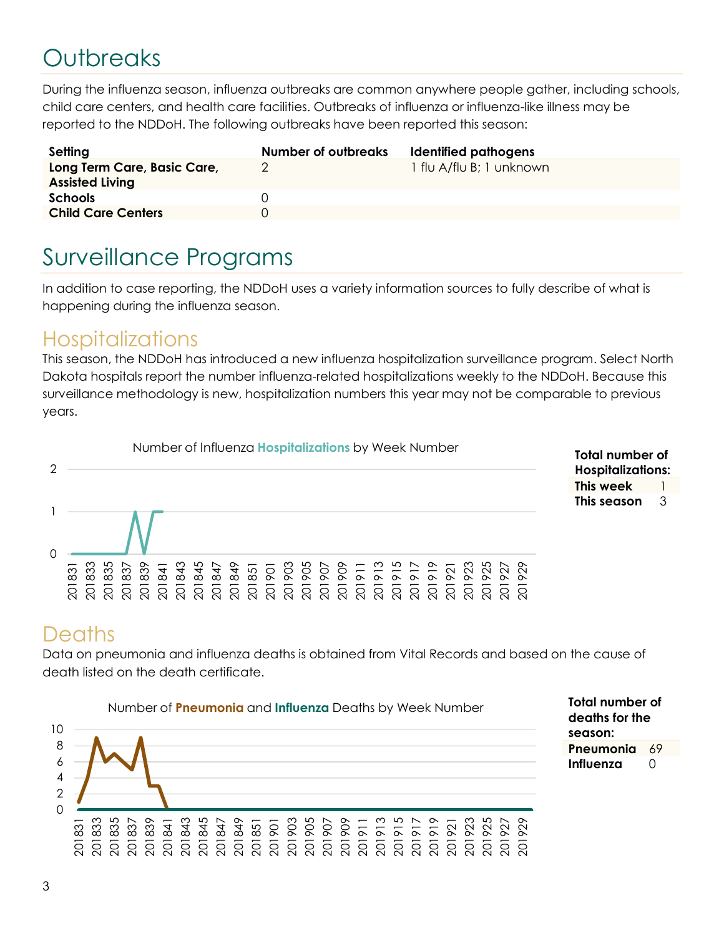# **Outbreaks**

During the influenza season, influenza outbreaks are common anywhere people gather, including schools, child care centers, and health care facilities. Outbreaks of influenza or influenza-like illness may be reported to the NDDoH. The following outbreaks have been reported this season:

| Setting                                               | Number of outbreaks | Identified pathogens     |
|-------------------------------------------------------|---------------------|--------------------------|
| Long Term Care, Basic Care,<br><b>Assisted Living</b> |                     | 1 flu A/flu B; 1 unknown |
| <b>Schools</b>                                        |                     |                          |
| <b>Child Care Centers</b>                             |                     |                          |

## Surveillance Programs

In addition to case reporting, the NDDoH uses a variety information sources to fully describe of what is happening during the influenza season.

#### **Hospitalizations**

This season, the NDDoH has introduced a new influenza hospitalization surveillance program. Select North Dakota hospitals report the number influenza-related hospitalizations weekly to the NDDoH. Because this surveillance methodology is new, hospitalization numbers this year may not be comparable to previous years.



#### **Deaths**

Data on pneumonia and influenza deaths is obtained from Vital Records and based on the cause of death listed on the death certificate.



Total number of deaths for the season: Pneumonia 69 Influenza 0

Total number of Hospitalizations: This week 1 This season 3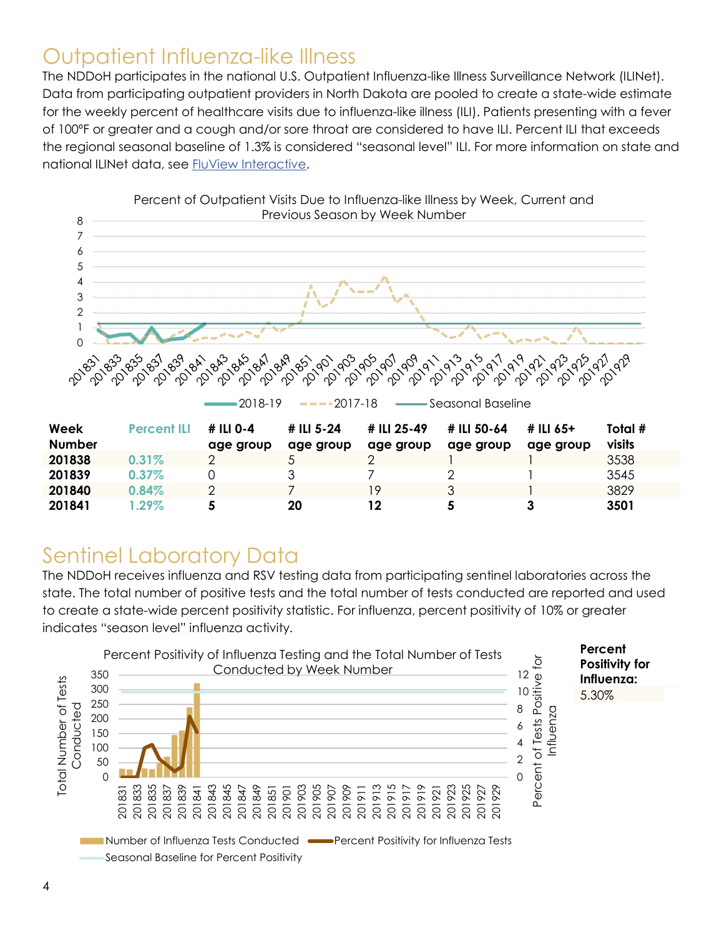### Outpatient Influenza-like Illness

The NDDoH participates in the national U.S. Outpatient Influenza-like Illness Surveillance Network (ILINet). Data from participating outpatient providers in North Dakota are pooled to create a state-wide estimate for the weekly percent of healthcare visits due to influenza-like illness (ILI). Patients presenting with a fever of 100ºF or greater and a cough and/or sore throat are considered to have ILI. Percent ILI that exceeds the regional seasonal baseline of 1.3% is considered "seasonal level" ILI. For more information on state and national ILINet data, see FluView Interactive.



### Sentinel Laboratory Data

The NDDoH receives influenza and RSV testing data from participating sentinel laboratories across the state. The total number of positive tests and the total number of tests conducted are reported and used to create a state-wide percent positivity statistic. For influenza, percent positivity of 10% or greater indicates "season level" influenza activity.

201841 1.29% 5 20 12 5 3 3501

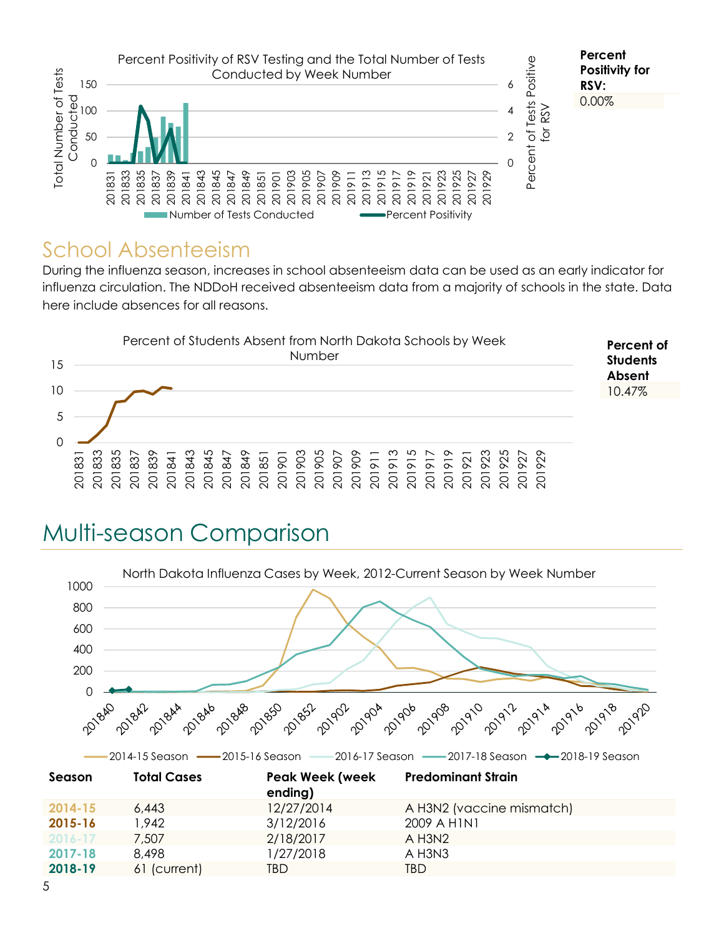

#### School Absenteeism

During the influenza season, increases in school absenteeism data can be used as an early indicator for influenza circulation. The NDDoH received absenteeism data from a majority of schools in the state. Data here include absences for all reasons.



# Multi-season Comparison